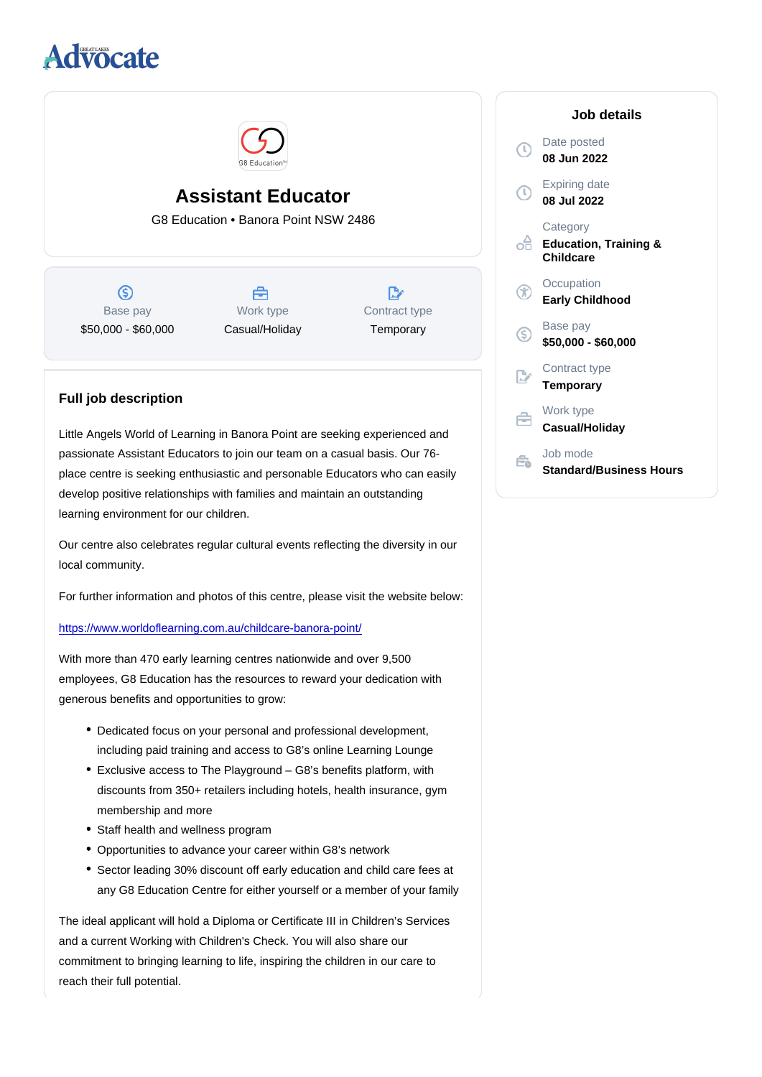## Assistant Educator

G8 Education • Banora Point NSW 2486

Base pay \$50,000 - \$60,000

Work type Casual/Holiday Contract type **Temporary** 

## Full job description

Little Angels World of Learning in Banora Point are seeking experienced and passionate Assistant Educators to join our team on a casual basis. Our 76 place centre is seeking enthusiastic and personable Educators who can easily develop positive relationships with families and maintain an outstanding learning environment for our children.

Our centre also celebrates regular cultural events reflecting the diversity in our local community.

For further information and photos of this centre, please visit the website below:

<https://www.worldoflearning.com.au/childcare-banora-point/>

With more than 470 early learning centres nationwide and over 9,500 employees, G8 Education has the resources to reward your dedication with generous benefits and opportunities to grow:

- Dedicated focus on your personal and professional development, including paid training and access to G8's online Learning Lounge
- Exclusive access to The Playground G8's benefits platform, with discounts from 350+ retailers including hotels, health insurance, gym membership and more
- Staff health and wellness program
- Opportunities to advance your career within G8's network
- Sector leading 30% discount off early education and child care fees at any G8 Education Centre for either yourself or a member of your family

The ideal applicant will hold a Diploma or Certificate III in Children's Services and a current Working with Children's Check. You will also share our commitment to bringing learning to life, inspiring the children in our care to reach their full potential.

## Job details

Date posted 08 Jun 2022

Expiring date 08 Jul 2022

**Category** Education, Training & **Childcare** 

**Occupation** Early Childhood

Base pay \$50,000 - \$60,000

Contract type **Temporary** 

Work type Casual/Holiday

Job mode Standard/Business Hours